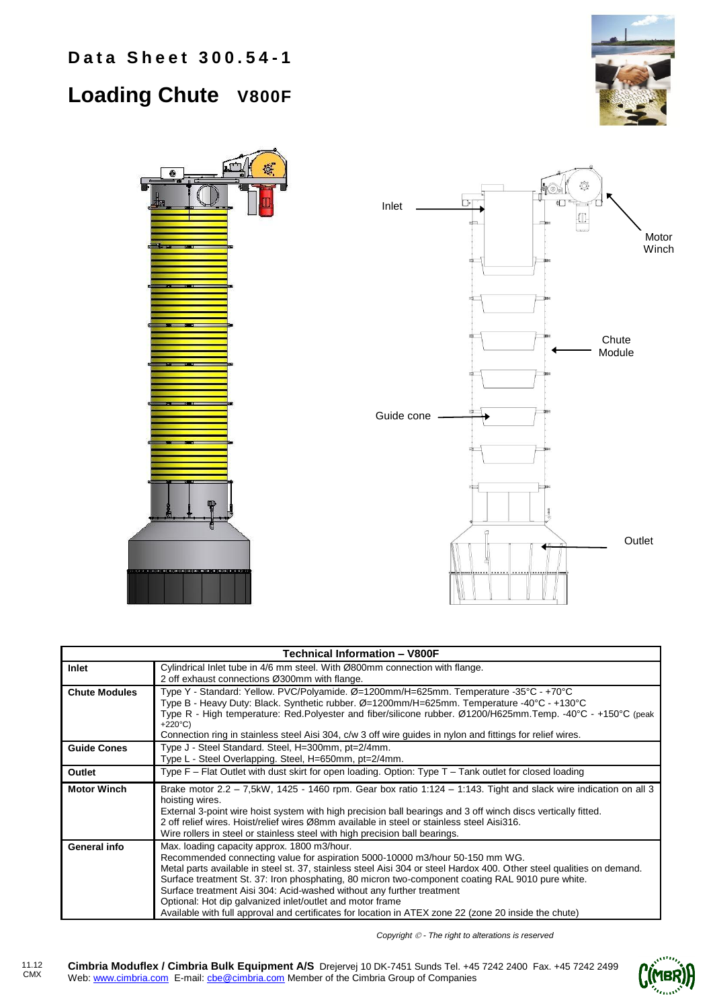**Data Sheet 300.54-1** 

## **Loading Chute V800F**





| <b>Technical Information - V800F</b> |                                                                                                                                                                                                                                                                                                                                                                                                                                                                                                                                                                                                         |  |  |
|--------------------------------------|---------------------------------------------------------------------------------------------------------------------------------------------------------------------------------------------------------------------------------------------------------------------------------------------------------------------------------------------------------------------------------------------------------------------------------------------------------------------------------------------------------------------------------------------------------------------------------------------------------|--|--|
| Inlet                                | Cylindrical Inlet tube in 4/6 mm steel. With Ø800mm connection with flange.<br>2 off exhaust connections Ø300mm with flange.                                                                                                                                                                                                                                                                                                                                                                                                                                                                            |  |  |
| <b>Chute Modules</b>                 | Type Y - Standard: Yellow. PVC/Polyamide. Ø=1200mm/H=625mm. Temperature -35°C - +70°C<br>Type B - Heavy Duty: Black. Synthetic rubber. Ø=1200mm/H=625mm. Temperature -40°C - +130°C<br>Type R - High temperature: Red.Polyester and fiber/silicone rubber. Ø1200/H625mm.Temp. -40°C - +150°C (peak<br>$+220^{\circ}$ C)<br>Connection ring in stainless steel Aisi 304, c/w 3 off wire guides in nylon and fittings for relief wires.                                                                                                                                                                   |  |  |
| <b>Guide Cones</b>                   | Type J - Steel Standard. Steel, H=300mm, pt=2/4mm.<br>Type L - Steel Overlapping. Steel, H=650mm, pt=2/4mm.                                                                                                                                                                                                                                                                                                                                                                                                                                                                                             |  |  |
| Outlet                               | Type $F$ – Flat Outlet with dust skirt for open loading. Option: Type $T$ – Tank outlet for closed loading                                                                                                                                                                                                                                                                                                                                                                                                                                                                                              |  |  |
| <b>Motor Winch</b>                   | Brake motor $2.2 - 7,5kW$ , 1425 - 1460 rpm. Gear box ratio 1:124 - 1:143. Tight and slack wire indication on all 3<br>hoisting wires.<br>External 3-point wire hoist system with high precision ball bearings and 3 off winch discs vertically fitted.<br>2 off relief wires. Hoist/relief wires Ø8mm available in steel or stainless steel Aisi316.<br>Wire rollers in steel or stainless steel with high precision ball bearings.                                                                                                                                                                    |  |  |
| General info                         | Max. loading capacity approx. 1800 m3/hour.<br>Recommended connecting value for aspiration 5000-10000 m3/hour 50-150 mm WG.<br>Metal parts available in steel st. 37, stainless steel Aisi 304 or steel Hardox 400. Other steel qualities on demand.<br>Surface treatment St. 37: Iron phosphating, 80 micron two-component coating RAL 9010 pure white.<br>Surface treatment Aisi 304: Acid-washed without any further treatment<br>Optional: Hot dip galvanized inlet/outlet and motor frame<br>Available with full approval and certificates for location in ATEX zone 22 (zone 20 inside the chute) |  |  |

*Copyright - The right to alterations is reserved*